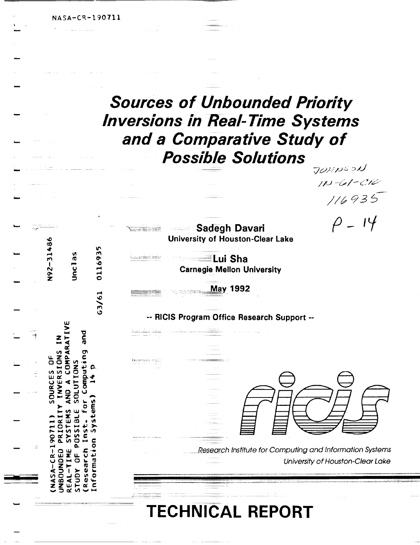**Sources of Unbounded Priority Inversions in Real-Time Systems** and a Comparative Study of **Possible Solutions** JOHNSON

 $10 - 61 - 10$ 

 $116935$ 

NASA-CR-190711

| 486<br>m                                     | $\frac{14}{1}$<br><b>Sadegh Davari</b><br>للمستقصص<br><b>University of Houston-Clear Lake</b><br><b>Example 21</b> Eui Sha |
|----------------------------------------------|----------------------------------------------------------------------------------------------------------------------------|
| 0116935<br>Unclas<br>N92                     | <b>Carnegie Mellon University</b>                                                                                          |
| 63/61                                        | May 1992                                                                                                                   |
|                                              | -- RICIS Program Office Research Support --                                                                                |
| ٣<br>and                                     |                                                                                                                            |
| თ<br>თ                                       | manarata and data                                                                                                          |
| <b>AUR</b><br>о                              |                                                                                                                            |
|                                              |                                                                                                                            |
|                                              |                                                                                                                            |
| Ο<br>ŋ                                       | Research Institute for Computing and Information Systems<br>University of Houston-Clear Lake                               |
| प,<br><b>NBOU</b><br>n<br>$\frac{4}{5}$<br>ш |                                                                                                                            |
|                                              | n                                                                                                                          |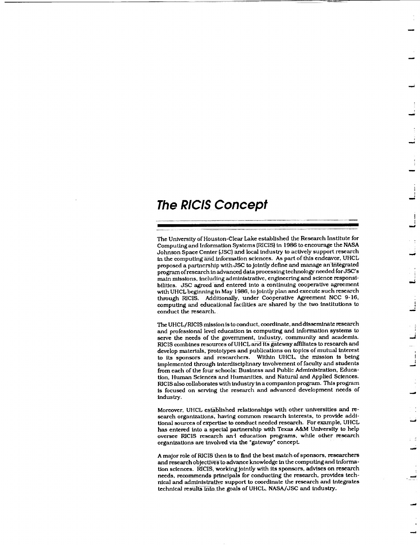## **The RICIS Concept**

The **University of** Houston-Clear *Lake* established the Research Institute for **Computing** and Information Systems (RICIS) in 1986 to encourage the NASA Johnson Space Center (JSC) and local industry to actively support research in the computing and information sciences. As **part** of this endeavor, UHCL proposed **a** partnership with JSC to jointly **define** and manage **anlntegrated** program ofrescarch in advanced data processing technology needed for dSC's main missions, including administrative, engineering and **science** responsi**bilities.** JSC agreed and entered into a continuing cooperative agreement with UHCL beginning in May 1986, to jointly plan and execute such research through RICIS. Additionally, under Cooperative Agreement NCC 9-16, computing and educational facilities are shared **by** the two institutions to conduct the research.

w

m

I

**..g**

**.al**

**.a#**

4 ] d

The UHCL/RICIS mission Is **to** conduct, coordinate, and disseminate research and professional level education in computing and information **systems** to serve the needs of the government, industry, community and academia. RICIS combines resources of UHCL and **its** gateway affiliates to research and develop materlals, prototypes and publications on topics of mutual interest to its **sponsors** and researchers. Within UHCL, the mission Is being implemented through interdisciplinary involvement of faculty and students from each of the four schools: Business and Public Administration, Education, Human Sciences and Humanities, and Natural and Applied Sciences. RICIS also collaborates with industry in a companion program. This program is focused on serving the research and advanced development needs of industry.

Moreover, UHCL established relationships with other universities and research organizations, having common research interests, to provide additional sources of expertise to conduct needed research. For example, UHCL has entered into a **special** partnership with Texas A&M University to help oversee RICIS research and education programs, while other research organizations are involved via the "gateway" concept.

**A** major **role** of RICIS then is **to find** the **best match of** sponsors, **researchers and research objectives** *to* **advance knowledge** in the **computing and** informa**tion sciences.** RICIS, **working** Jointly with its **sponsors, advises on research needs,** recommends **principals for** conducting **the** research, **provides** technical and **adminis\_tive support** to coordinate the research and integrates technical resulta into the goals of UHCL, NASA/JSC and industry.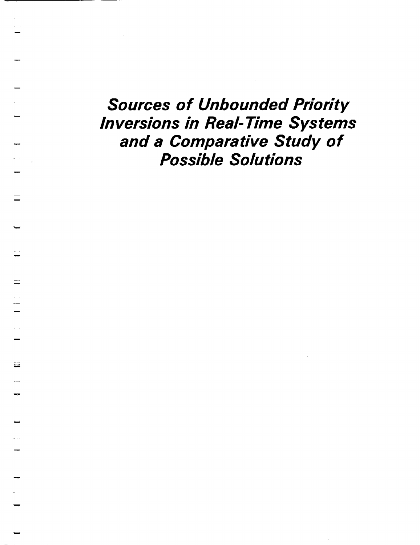**Sources of Unbounded Priority Inversions in Real-Time Systems** and a Comparative Study of **Possible Solutions** 

 $\equiv$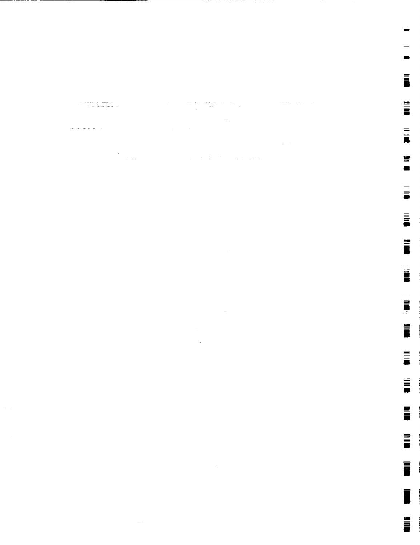الرابط عاعدتها 

 $\equiv$ 

Í

Ĩ.

Î.

 $\equiv$ 

 $\ddot{\mathbf{v}}$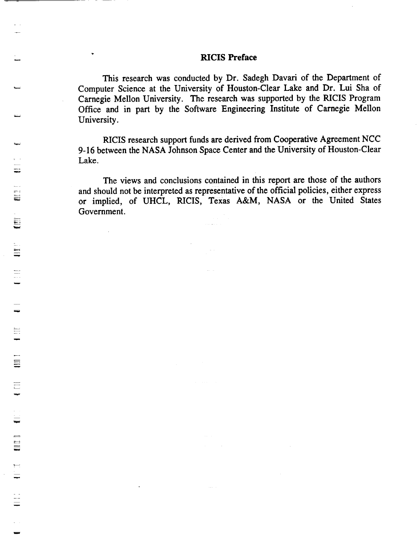#### **RICIS Preface**

This **research** was conducted by Dr. Sadegh Davari of the Department of Computer Science at the University of Houston-Clear Lake and Dr. Lui Sha of Carnegie Mellon University. The research was supported by the RICIS Program Office and in part by the Software Engineering Institute of Carnegie Mellon University.

RICIS **research support** funds are **derived** from Cooperative **Agreement NCC** 9-16 between the NASA Johnson Space Center and the University of Houston-Clear Lake.

The views **and** conclusions contained in this report are those of the **authors** and should not be interpreted as representative of the official policies, either express or implied, of UHCL, RICIS, Texas A&M, NASA or the United States Government.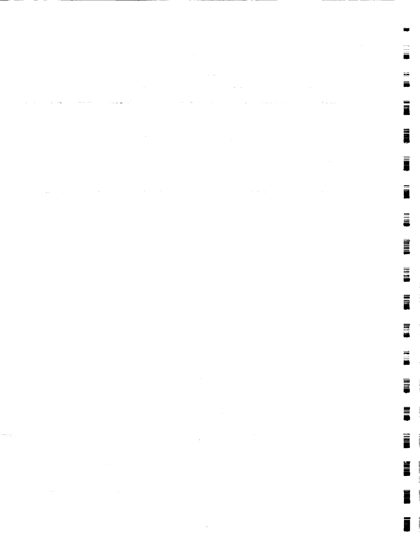a la 1940, de la componencia de la constitución de la constitución de la constitución de la constitución de la

 $\mathcal{L}^{\mathcal{L}}$  and the set of the set of the set of the set of the set of the set of the set of the set of the set of the set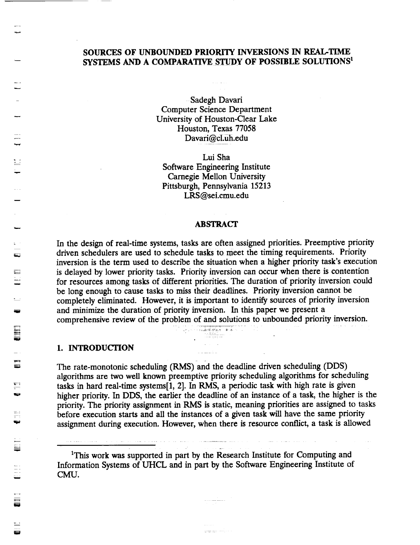#### **SOURCES OF UNBOUNDED PRIORITY INVERSIONS IN REAL-TIME SYSTEMS AND A COMPARA\_ STUDY OF POSSIBLE SOLUTIONS t**

Sadegh Davari *Computer* Science Department University of Houston-Clear Lake Houston, Texas 77058 Davari@d.uh.edu

Lui Sha **Software** Engineering Institute Carnegie Mellon University Pittsburgh, Pennsylvania 15213 LRS@sei.cmu.edu

#### **ABSTRACT**

In the design of real-time systems, tasks are often assigned priorities. Preemptive priority driven schedulers are used to schedule tasks to **meet** the timing requirements. Priority inversion is the term used to describe the situation when a higher priority task's execution is delayed by lower priority tasks. Priority inversion can occur when there is contention for resources among tasks of different priorities. The duration of priority inversion could be long enough to cause tasks to miss their deadlines. Priority inversion cannot be completely eliminated. However, it is important to identify sources of priority inversion and minimize the duration of priority inversion. In this paper we present a comprehensive review of the problem of and solutions to unbounded priority inversion.

#### 1. **INTRODUCTION**

The rate-monotonic scheduling (RMS) and the deadline driven scheduling (DDS) algorithms are two well known preemptive priority scheduling algorithms for scheduling tasks in hard real-time systems[I, 2]. In RMS, a periodic task with high rate is given higher priority. In DDS, the earlier the deadline of an instance of a task, the higher is the priority. The priority assignment in RMS is static, meaning priorities are assigned to tasks before execution starts and all the instances of a given task will have the same priority assignment during execution. However, when there is resource conflict, a task is allowed

1This work was **supported** in part by the Research Institute for Computing and Information Systems of UHCL and in part by the Software Engineering Institute of CMU.

area est molt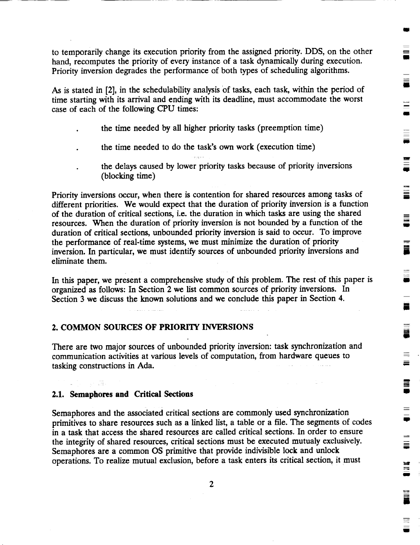to temporarily change its execution priority from the assigned priority. DDS, on the other hand, recomputes the priority of every instance of a task dynamically during execution. Priority inversion degrades the performance of both types of scheduling algorithms.

**i**

D

i

**ill**

i

**ell**

g

Jw IJ

I

m Ill

m

m m m

ill

**J**

z g

m

**III** 

g

As is stated in [2], in the schedulability analysis of tasks, each task, within the period of time starting with its arrival and ending with its deadline, must accommodate the worst case of each of the following *CPU* times:

the time needed by all higher priority tasks (preemption time)

**the time** needed **to** do **the task's** own **work** (execution **time)**

**the delays caused** by **lower priority tasks** because **of priority** inversions (blocking time)

Priority inversions occur, **when** there is **contention** for shared **resources** among **tasks** of different priorities. We would expect that the duration of priority inversion is a function of the duration of critical sections, i.e. the duration in which tasks are using the shared resources. When the duration of priority inversion is not bounded by a function of the duration of critical sections, unbounded priority inversion is said to occur. To improve the performance of real-time systems, we must minimize the duration of priority inversion. In particular, we must identify sources of unbounded priority inversions and eliminate them.

In this paper, we **present a** comprehensive **study of this problem.** The rest **of** this paper is organized as follows: In Section 2 we list common sources of priority inversions. In Section 3 we discuss the known solutions and we conclude this paper in Section 4.

#### **2. COMMON SOURCES OF** PRIORITY **INVERSIONS**

There are two **major sources** of unbounded priority inversion: task **synchronization** and communication activities at various levels of computation, from hardware queues to tasking constructions in Ada.

**2.1. Semaphores** and **Critical Sections**

Semaphores and **the** associated **critical sections** are **commonly** used **synchronization** primitives to share resources such as a linked list, a table or a file. The segments of codes in a task that access the shared resources are called critical sections. In order to ensure the integrity of shared resources, critical sections must be executed mutualy exclusively. Semaphores are a common OS primitive that provide indivisible lock and unlock operations. To realize mutual exclusion, before a task enters its critical section, it must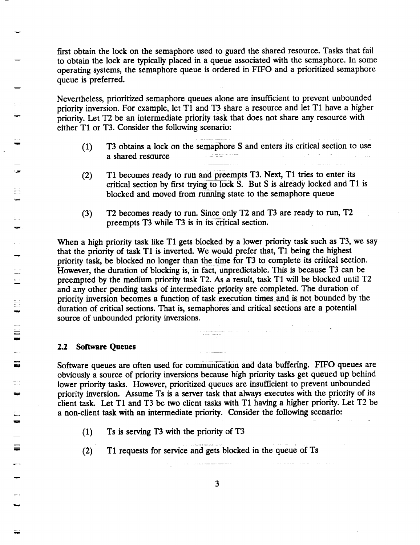first obtain the lock **on the** semaphore used **to** guard **the** shared resource. Tasks that fail to obtain the lock are typically placed in a queue associated with the semaphore. In some operating systems, the semaphore queue is ordered in FIFO and a prioritized semaphore queue is preferred.

Nevertheless, prioritized semaphore queues alone are insufficient to prevent unbounded priority inversion. For example, let T1 and T3 share a resource and let T1 have a higher priority. Let T2 be an intermediate priority task that does not share any resource with either T1 or T3. Consider the following scenario:

- (1) **T3** obtains a lock on the **semaphore** S and enters its critical section to use a shared resource .....
- (2) T1 becomes ready to run and preempts T3. Next, T1 tries to enter its critical section by first trying to lock S. But S is already locked and T1 is blocked and moved from running state to the semaphore queue
- (3) T2 becomes ready to run. Since only T2 and T3 are ready to run, T2 preempts T3 while T3 is in \_ts\_-ritical **section.**

When a high priority task like T1 gets blocked by **a lower** priority task **such as** T3, **we say** that the priority of task T1 is inverted. We would prefer that, T1 being the highest priority task, be blocked no longer than the time for T3 to complete its critical section. However, the duration of blocking is, in fact, unpredictable. This is because T3 can be preempted by the medium priority task T2. As a result, task T1 will be blocked until T2 and any other pending tasks of intermediate priority are completed. The duration of priority inversion becomes a function of task execution times and is not bounded by the duration of critical sections. That is, semaphores and critical sections are a potential source of unbounded priority inversions.

#### 2.2 Software Queues

W

J

M

 $\overline{\mathbb{Z}}$  $\overline{\phantom{a}}$ 

**=** • w

w

-£ w

**Willi** 

 $\frac{1}{\sqrt{2}}$  $\overline{a}$ 

m\_ V

 $\equiv$ 

 $\frac{1}{2}$ 

m w

w

--= w

Software queues are often used for communication and data buffering. FIFO queues are obviously a source of priority inversions because high priority tasks get queued up behind lower priority tasks. However, prioritized queues are insufficient to prevent unbounded priority inversion. Assume Ts is a server task that always executes with the priority of its client task. Let T1 and T3 be two client tasks with T1 having a higher priority. Let T2 be a non-client task with an intermediate priority. Consider the following scenario:

- (1) Ts is serving T3 with the priority of T3
- (2) T1 requests for service and gets blocked in the queue of Ts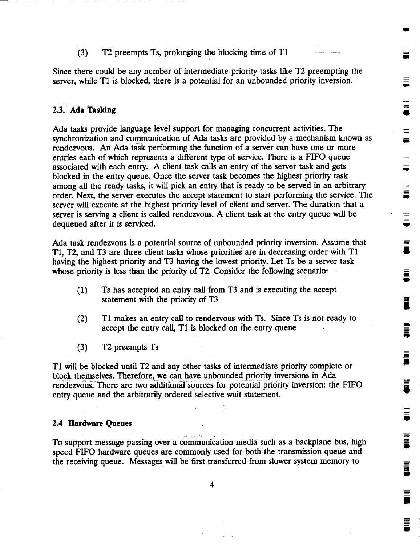(3) T2 preempts Ts, prolonging the blocking time of T1

Since there **could** be any number of intermediate priority tasks like T2 preempting the server, while T1 is blocked, there is a potential for an unbounded priority inversion.

qlu

m

D

Z

WM<br>Wm

g

i

! D

|

B m m

**i** 

**qP**

D

u

**!** i

Ill

U

### **2.3. Ada Tasking**

Ada tasks provide language level support for managing concurrent activities. The synchronization and communication of Ada tasks are provided by a mechanism known as rendezvous. *An* Ada task performing the function of a server can have one or more entries each of which represents a different type of service. There is a FIFO queue associated with each entry. A client task calls an entry of the server task and gets blocked in the entry queue. Once the server task becomes the highest priority task among all the ready tasks, it will pick an entry that is ready to be served in an arbitrary order. Next, the server executes the accept statement to start performing the service. The server will execute at the highest priority level of client and server. The duration that a server is serving a client is called rendezvous. *A* client task at the entry queue will be dequeued after it is serviced.

Ada task **rendezvous** is **a** potential **source** of unbounded priority inversion. Assume that T1, T2, and T3 are three client tasks whose priorities are in decreasing order with T1 having the highest priority and T3 having the lowest priority. Let Ts be a server task whose priority is less than the priority of T2. Consider the following scenario:

- (1) Ts has accepted an entry call from T3 and is executing the accept statement with the priority of T3
- (2) T1 makes an entry call **to** rendezvous with Ts. Since Ts is **not** ready to accept the entry call, T1 is blocked on **the** entry queue
- (3) T2 preempts Ts

T1 will be blocked until T2 and any other tasks of intermediate priority complete or block themselves. Therefore, we can have unbounded priority inversions in Ada rendezvous. There are two additional sources for potential priority inversion: the FIFO entry queue and the arbitrarily ordered selective wait statement.

#### **2.4 Hardware Queues**

To **support** message passing **over** a **communication** media **such** as a backplane bus, high speed FIFO hardware queues are commonly used for both the transmission queue and the receiving queue. Messages will be **first** transferred **from** slower system memory to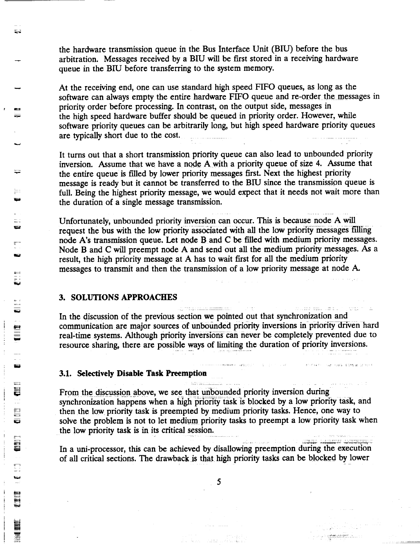the hardware transmission queue in the Bus Interface **Unit** (BIU) before the bus arbitration. Messages received by a BIU will be **first** stored in a receiving hardware queue in the BIU before transferring to the system memory.

At the receiving end, one can use standard high speed FIFO queues, as long as the software can always empty the entire hardware FIFO queue and re-order the messages in priority order before processing. In contrast, on the output side, messages in the high speed hardware buffer shou\_!d be queued in priority **order.** However, while software priority queues can be arbitrarily long, but high speed hardware priority queues are typically short due to the cost.

It turns out that a short transmission priority queue can also lead to unbounded priority inversion. Assume that we have a node *A* with a priority queue of size 4. Assume that the entire queue is filled by lower priority messages first. Next the highest priority message is ready but it cannot be transferred to the BIU since the transmission queue is full. *Being* the highest priority message, we would expect that it needs not wait more than the duration of a single message transmission.

Unfortunately, unbounded priority inversion can occur. This is because node A will request the bus with the low priority associated with all the low priority messages filling node *A's* transmission queue. Let node B and C be filled with medium priority messages. Node B and C will preempt node A and send out all the medium priority messages. As a result, the high priority message at A has to wait first for all the medium priority messages to transmit and then the transmission of a low priority message at node A.

#### 3. **SOLUTIONS APPROACHES**

 $\equiv$ 

 $\equiv$ 

₩

 $\equiv$  . w

 $=$ 

\_= J

w

 $\overline{\mathbf{L}}$ 

U

뺻 ō

 $\equiv$ 

EN NATIONAL

Ë

i M

In the discussion of the previous section we pointed out that **synchronization** and communication are major sources of unbounded priority inversions in priority driven hard real-time systems. Although priority inversions can never be completely prevented due to resource sharing, there are possible ways of limiting the duration of priority inversions.

#### **3.1. Selectively Disable Task Preemption**

From the discussion above, we see that unbounded priority inversion during synchronization happens when a high priority task is blocked by a low priority task, and then the low priority task is preempted by medium priority tasks. Hence, one way to solve the problem is not to let medium priority tasks to preempt a low priority task when the low priority task is in its critical session.

**-:-:** \_: *L\_* \_ ............

In a uni-processor, this can be achieved by disallowing preemption during the execution of all critical sections. The drawback is that high priority tasks can be blocked by lower

a a y b<u>otenat</u>en ha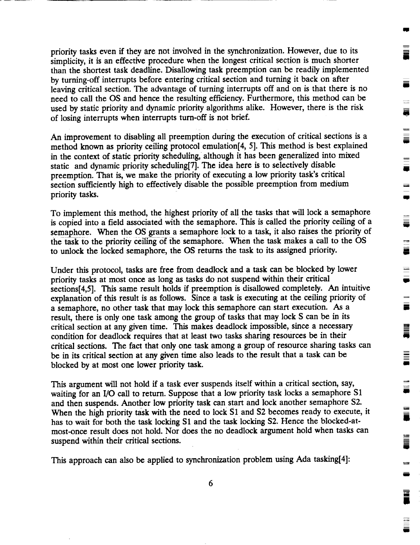priority tasks even if they are not involved in the synchronization. However, due to its simplicity, it is an effective procedure when the longest critical section is much shorter than the shortest task deadline. Disallowing task preemption can be readily implemented by turning-off interrupts before entering critical section and turning it back on after leaving critical section. The advantage of turning interrupts off and on is that there is no need to call the OS and hence the resulting efficiency. Furthermore, this method can be used *by* static priority and dynamic priority algorithms alike. However, there is the risk of losing interrupts when interrupts turn-off is not brief.

l

m

lib

W

U

m m

 $\blacksquare$ 

i lp

D

n I

m m

m<br>III

m

m L.

m ull

g

m **I** 

J

An improvement to disabling all preemption during the execution of critical sections is a method known as priority ceiling protocol emulation[4, 5]. This method is best explained in the context of static priority scheduling, although it has been generalized into mixed static and dynamic priority scheduling[7]. The idea here is to selectively disable preemption. That is, we make the priority of executing a low priority task's critical section sufficiently high to effectively disable the possible preemption from medium priority **tasks.**

To implement this method, the highest priority of all the tasks that will lock a semaphore is copied into a **field** associated with the semaphore. This is called the priority ceiling of a semaphore. When the OS grants a semaphore lock to a task, it also raises the priority of the task to the priority ceiling of the semaphore. When the task makes a call to the OS to unlock the locked semaphore, the OS returns the task to its assigned priority.

Under this protocol, tasks are free from deadlock and a task can be blocked by lower priority tasks at most once as long as tasks do not suspend within their critical sections[4,5]. This same result holds if preemption is disallowed completely. An intuitive explanation of this result is as follows. Since a task is executing at the ceiling priority of a semaphore, no other task that may lock this semaphore can start execution. As a result, there is only one task among the group of tasks that may lock S can be in its critical section at any given time. This makes deadlock impossible, since a necessary condition for deadlock requires that at least two tasks sharing resources be in their critical sections. The fact that only one task among a group of resource sharing tasks can be in its critical section at any given time also leads to the result that a task can be blocked by at most one lower priority task.

This argument will not hold if a task ever suspends itself within a critical section, say, waiting for an I/O call to return. Suppose that a low priority task locks a semaphore S1 and then suspends. Another low priority task can start and lock another semaphore \$2. When the high priority task with the need to lock S1 and S2 becomes ready to execute, it has to wait for both the task locking S1 and the task locking S2. Hence the blocked-atmost-once result does not hold. Nor does the no deadlock argument hold when tasks can suspend within their critical sections.

This approach **can** also be applied to **synchronization** problem using Ada tasking[4]: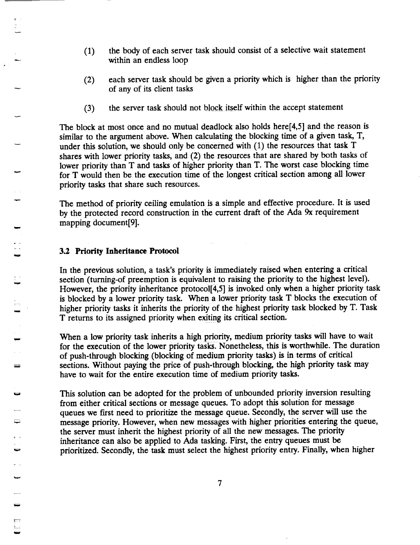- (1) **the** body **of** each server **task should** consist of <sup>a</sup> **selective** wait **statement** within an endless loop
- (2) each **server** task should be given a priority which is higher than the priority of any of its client tasks
- (3) the server task should not block itself within the accept statement

The block at most once and no mutual deadlock also holds here[4,5] and the reason is similar to the argument above. When calculating the blocking time of a given task, T, under this solution, we should only be concerned with (1) the resources that task T shares with lower priority tasks, and (2) the resources that are shared by both tasks of lower priority than T and tasks of higher priority than T. The worst case blocking time for T would then be the execution time of the longest critical section among all lower priority tasks that share such resources.

The method of priority ceiling emulation is a simple and effective procedure. It is used by the protected record construction in the current draft of the Ada 9x requirement mapping document[9].

#### 3.2 **Priority Inheritance Protocol**

w

 $\ddot{\phantom{0}}$ 

w

 $=$ 

 $\overline{\phantom{0}}$ 

₽

7 *:*

1iw

In the previous **solution,** a task's priority is immediately raised **when** entering a critical section (turning-of preemption is equivalent to raising the priority to the highest level). However, the priority inheritance protocol[4,5] is invoked only when a higher priority task is blocked by a lower priority task. When a lower priority task T blocks the execution of higher priority tasks it inherits the priority of the highest priority task blocked by T. Task T returns to its assigned priority when exiting its critical section.

When a low priority task inherits a high priority, medium priority tasks will have to **wait** for the execution of the lower priority tasks. Nonetheless, this is worthwhile. The duration of push-through blocking (blocking of medium priority tasks) is in terms of critical sections. Without paying the price of push-through blocking, the high priority task may have to wait for the entire execution time of medium priority tasks.

This **solution** can be adopted for the problem of unbounded priority inversion resulting from either critical sections or message queues. To adopt this solution for message queues we first need to prioritize the message queue. Secondly, the server will use the message priority. However, when new messages with higher priorities entering the queue, the server must inherit the highest priority of all the new messages. The priority inheritance can also be applied to Ada tasking. First, the entry queues must be prioritized. Secondly, the task must select the highest priority entry. Finally, when higher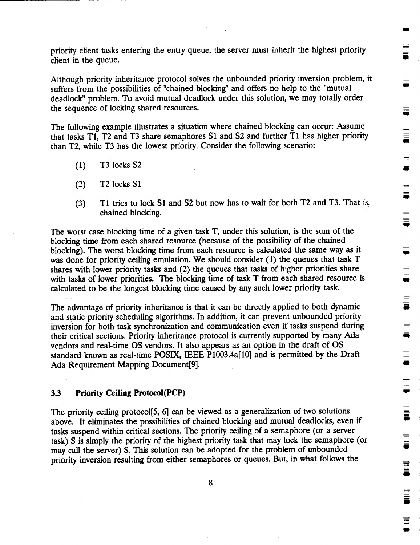g m m J Q m  $\blacksquare$ Q g D U **U** m ≣ U  $\equiv$ w mli m J I i i

priority client tasks entering the entry queue, the server must inherit the highest priority client in the queue.

Although priority inheritance protocol solves the unbounded priority inversion problem, it suffers from the possibilities of "chained blocking" and offers no help to the "mutual deadlock" problem. To avoid mutual deadlock under this solution, we may totally order the sequence of locking shared resources.

The following example illustrates a **situation where chained blocking** can occur: Assume that tasks T1, T2 and T3 share semaphores \$1 and \$2 and further T1 has higher priority than T2, while T3 has the lowest priority. Consider the following scenario:

- $(1)$  T3 locks S2
- $(2)$  T2 locks S1
- (3) T1 tries to lock \$1 and \$2 but now has to wait for both T2 and T3. That is, chained blocking.

The **worst** case blocking time of a given task **T,** under this solution, is the sum of the blocking time from each shared resource (because of the possibility of the chained blocking). The worst blocking time from each resource is calculated the same way as it was done for priority ceiling emulation. We should consider (1) the queues that task T shares with lower priority tasks and (2) the queues that tasks of higher priorities share with tasks of lower priorities. The blocking time of task T from each shared resource is calculated to be the longest blocking time caused by any such lower priority task.

The advantage of priority inheritance is that it can be directly applied to both dynamic and static priority scheduling algorithms. In addition, it can prevent unbounded priority inversion for both task synchronization and communication even if tasks suspend during their critical sections. Priority inheritance protocol is currently supported by many Ada vendors and real-time OS vendors. It also appears as an option in the draft of OS standard known as real-time POSIX, IEEE P1003.4a[10] and is permitted by the Draft Ada Requirement Mapping Document[9].

#### 3.3 **Priority Ceiling Protocoi(PCP)**

The priority ceiling protocol[5, 6] can be viewed as a generalization of two solutions above. It eliminates the possibilities of chained blocking and mutual deadlocks, even if tasks suspend within critical sections. The priority ceiling of a semaphore (or a server task) S is simply the priority of the highest priority task that may lock the semaphore (or may call the server) S. This solution can be adopted for the problem of unbounded priority inversion resulting **from** either semaphores or queues. But, in what follows the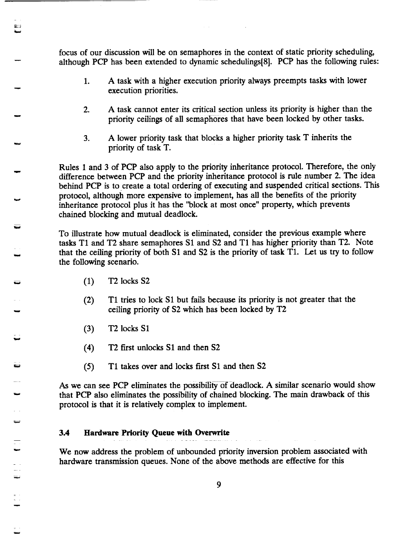focus of our discussion will be on **semaphores** in the context of **static** priority **scheduling,** although PCP has been extended to dynamic schedulings[8]. PCP has the following rules:

- **.** A task with a higher execution priority always preempts tasks with lower execution priorities.
- **.** A task cannot enter its critical **section** unless its priority is higher than the priority ceilings of all semaphores that have been locked by other tasks.
- <sup>1</sup> A lower priority task that blocks a higher priority task T inherits the priority of task T.

Rules 1 and 3 of PCP also apply to the priority inheritance protocol. Therefore, the only difference between PCP and the priority inheritance protocol is rule number 2. The idea behind PCP is to create a total ordering of executing and suspended critical sections. This protocol, although more expensive to implement, has all the benefits of the priority inheritance protocol plus it has the "block at most once" property, which prevents chained blocking and mutual deadlock.

To illustrate how mutual deadlock is eliminated, **consider** the previous example where tasks T1 and T2 share semaphores \$1 and \$2 and T1 has higher priority than T2. Note that the ceiling priority of both \$1 and \$2 is the priority of task T1. Let us try to follow the following scenario.

(1) T2 **locks** \$2

W

w

W

m

 $\Rightarrow$ 

m

w

**=** w

- (2) T1 tries to lock \$1 but fails because its priority is not greater that the ceiling priority of \$2 which has been locked by T2
- (3) T2 locks \$1
- (4) T2 **first** unlocks \$1 and then \$2
- (5) T1 takes over and locks first \$1 and then \$2

**As** we **can see PCP eliminates** the possibility **of deadlock.** A similar scenario **would** show **that PCP also** eliminates **the possibility of chained** blocking. The **main** drawback **of this protocol** is **that it is relatively complex to** implement.

### 3.4 **Hardware Priority** Queue **with Overwrite**

**We now address the problem of** unbounded priority **inversion problem associated with hardware transmission queues. None of the above** methods **are effective for this**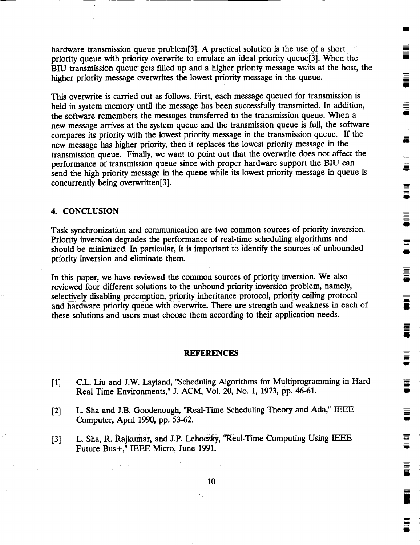hardware transmission queue problem<sup>[3]</sup>. A practical solution is the use of a short priority queue with priority overwrite to emulate an ideal priority queue[3]. When the BIU transmission queue gets filled up and a higher priority message waits at the host, the higher priority message overwrites the lowest priority message in the queue.

R

I

i Im

m

l

i J

> m Q

m

m g

im

|<br>|<br>|

I

g

I

 $\equiv$ m

g

≣

I

|<br>|-<br>|

u m m

This overwrite is carried out as follows. First, each message queued for transmission is held in system memory until the message has been successfully transmitted. In addition, the software remembers the messages transferred to the transmission queue. When a new message arrives at the system queue and the transmission queue is full, the software compares its priority with the lowest priority message in the transmission queue. If the new message has higher priority, then it replaces the lowest priority message in the transmission queue. Finally, we want to point out that the overwrite does not affect the performance of transmission queue since with proper hardware support the *BIU* can send the high priority message in the queue while its lowest priority message in queue is concurrently being overwritten[3].

#### **4. CONCLUSION**

**Task synchronization** and **communication** are two **common sources** of priority inversion. Priority inversion degrades the performance of real-time scheduling algorithms and should be minimized. In particular, it is important to identify the sources of unbounded priority inversion and eliminate them.

In this paper, we have reviewed the common **sources of** priority inversion. We **also** reviewed four different solutions to the unbound priority inversion problem, namely, selectively disabling preemption, priority inheritance protocol, priority ceiling protocol and hardware priority queue with overwrite. There are strength and weakness in each of these solutions and users must choose them according to their application needs.

#### REFERENCES

- [1] C.L. Liu and J.W. Layland, "Scheduling Algorithms for Multiprogramming in Hard Real Time Environments," J. ACM, Vol. 20, No. 1, **1973,** pp. 46-61.
- [2] L **Sha** and J.B. Goodenough, "Real-Time Scheduling Theory and Ada," 1EEE Computer, April 1990, pp. 53-62.
- [3] L. Sha, R. Rajkumar, and J.P. Lehoczky, "Real-Time Computing Using IEEE Future Bus+," IEEE Micro, June 1991.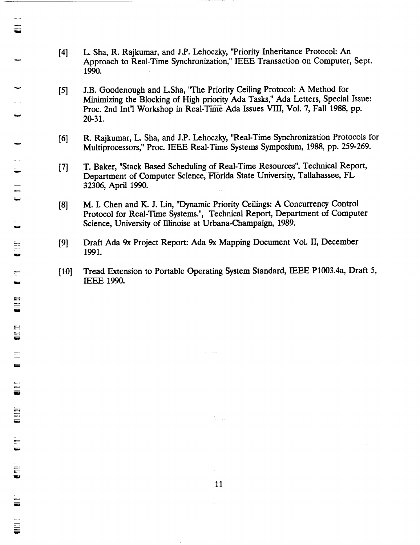**[4]** L Sha, R. Rajkumar, and J.P. Lehoczky, "Priority Inheritance Protocol: An Approach to Real-Time Synchronization," IEEE Transaction on Computer, Sept. 1990.

k

 $\leftarrow$ 

 $\overline{\phantom{a}}$ 

 $\mathbb{Z}^{\mathbb{Z}}$ 

÷

W  $\frac{1}{2}$ 

w

= =

u

Ē 

U U U

UNIT

E  $\bullet$ 

L<br>U

m\_

E<br>V

Ë,

 $=$ 

**William** 

- **[51** J.B. Goodenough and L.Sha, "I'he Priority Ceiling Protocol: A Method for Minimizing the Blocking of High priority Ada Tasks," Ada Letters, Special Issue: Proc. 2nd Int'l Workshop in Real'Time Ada Issues VIII, Vol. 7, Fall 1988, pp. 20-31.
- **[6]** R. Rajkumar, L. Sha, and J.P. Lehoczky, "Real-Time Synchronization Protocols for Multiprocessors," Proc. IEEE Real-Time Systems Symposium, 1988, pp. 259-269.
- $[7]$ T. Baker, "Stack Based Scheduling **of** Real-Time Resources", Technical Report, Department of Computer Science, Florida State University, Tallahassee, FL 32306, *April* 1990.
- [8] M. I. Chen and K. J. **Lin,** "Dynamic **Priority** Ceilings: A Concurrency Control **Protocol for Real-Time Systems.", Technical Report, Department of Computer Science, University of Illinoise at Urbana-Champaign, 1989.**
- [91 Draft Ada 9x Project **Report: Ada** 9x Mapping **Document** Vol. II, **December** 1991.
- $[10]$ Tread Extension **to** Portable Operating System Standard, IEEE P1003.4a, **Draft** 5, IEEE 1990.